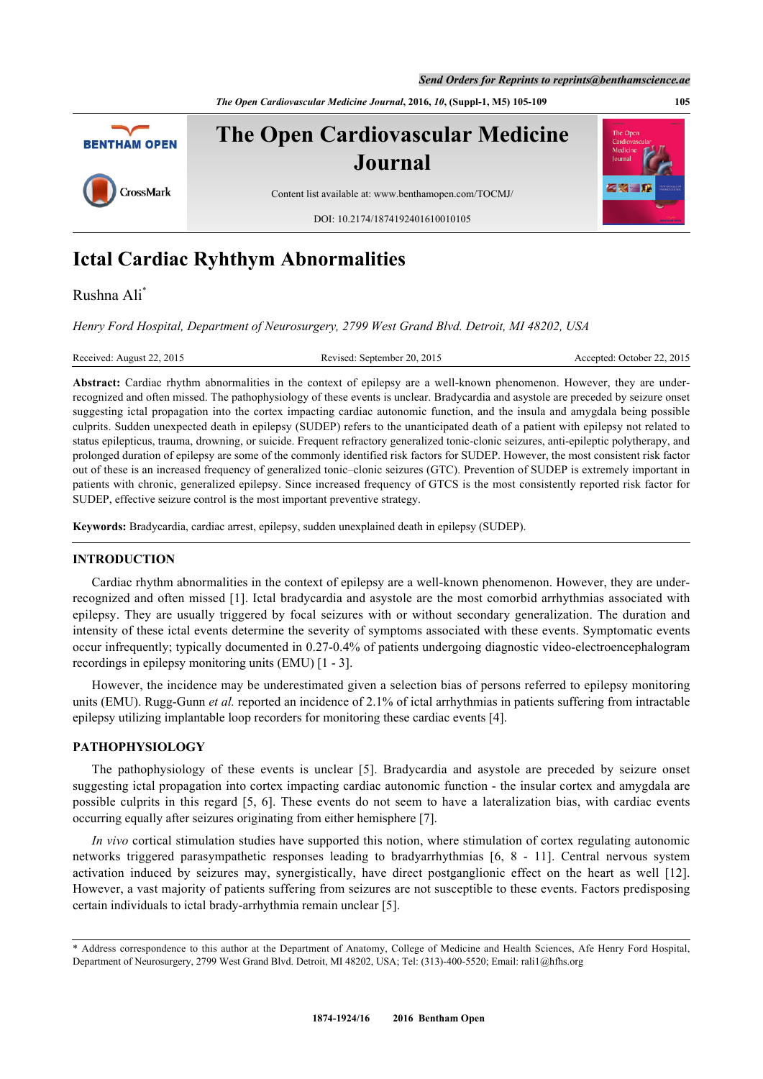*The Open Cardiovascular Medicine Journal***, 2016,** *10***, (Suppl-1, M5) 105-109 105**



# **Ictal Cardiac Ryhthym Abnormalities**

Rushna Ali[\\*](#page-0-0)

*Henry Ford Hospital, Department of Neurosurgery, 2799 West Grand Blvd. Detroit, MI 48202, USA*

Received: August 22, 2015 Revised: September 20, 2015 Accepted: October 22, 2015

Abstract: Cardiac rhythm abnormalities in the context of epilepsy are a well-known phenomenon. However, they are underrecognized and often missed. The pathophysiology of these events is unclear. Bradycardia and asystole are preceded by seizure onset suggesting ictal propagation into the cortex impacting cardiac autonomic function, and the insula and amygdala being possible culprits. Sudden unexpected death in epilepsy (SUDEP) refers to the unanticipated death of a patient with epilepsy not related to status epilepticus, trauma, drowning, or suicide. Frequent refractory generalized tonic-clonic seizures, anti-epileptic polytherapy, and prolonged duration of epilepsy are some of the commonly identified risk factors for SUDEP. However, the most consistent risk factor out of these is an increased frequency of generalized tonic–clonic seizures (GTC). Prevention of SUDEP is extremely important in patients with chronic, generalized epilepsy. Since increased frequency of GTCS is the most consistently reported risk factor for SUDEP, effective seizure control is the most important preventive strategy.

**Keywords:** Bradycardia, cardiac arrest, epilepsy, sudden unexplained death in epilepsy (SUDEP).

# **INTRODUCTION**

Cardiac rhythm abnormalities in the context of epilepsy are a well-known phenomenon. However, they are underrecognized and often missed [[1\]](#page-2-0). Ictal bradycardia and asystole are the most comorbid arrhythmias associated with epilepsy. They are usually triggered by focal seizures with or without secondary generalization. The duration and intensity of these ictal events determine the severity of symptoms associated with these events. Symptomatic events occur infrequently; typically documented in 0.27-0.4% of patients undergoing diagnostic video-electroencephalogram recordings in epilepsy monitoring units (EMU) [\[1](#page-2-0) - [3](#page-2-1)].

However, the incidence may be underestimated given a selection bias of persons referred to epilepsy monitoring units (EMU). Rugg-Gunn *et al.* reported an incidence of 2.1% of ictal arrhythmias in patients suffering from intractable epilepsy utilizing implantable loop recorders for monitoring these cardiac events [[4\]](#page-2-2).

#### **PATHOPHYSIOLOGY**

The pathophysiology of these events is unclear [\[5\]](#page-2-3). Bradycardia and asystole are preceded by seizure onset suggesting ictal propagation into cortex impacting cardiac autonomic function - the insular cortex and amygdala are possible culprits in this regard[[5](#page-2-3)[, 6](#page-2-4)]. These events do not seem to have a lateralization bias, with cardiac events occurring equally after seizures originating from either hemisphere [[7\]](#page-2-5).

*In vivo* cortical stimulation studies have supported this notion, where stimulation of cortex regulating autonomic networks triggered parasympathetic responses leading to bradyarrhythmias[[6](#page-2-4), [8](#page-2-6) - [11](#page-3-0)]. Central nervous system activation induced by seizures may, synergistically, have direct postganglionic effect on the heart as well [\[12\]](#page-3-1). However, a vast majority of patients suffering from seizures are not susceptible to these events. Factors predisposing certain individuals to ictal brady-arrhythmia remain unclear [\[5](#page-2-3)].

<span id="page-0-0"></span><sup>\*</sup> Address correspondence to this author at the Department of Anatomy, College of Medicine and Health Sciences, Afe Henry Ford Hospital, Department of Neurosurgery, 2799 West Grand Blvd. Detroit, MI 48202, USA; Tel: (313)-400-5520; Email: [rali1@hfhs.org](mailto:rali1@hfhs.org)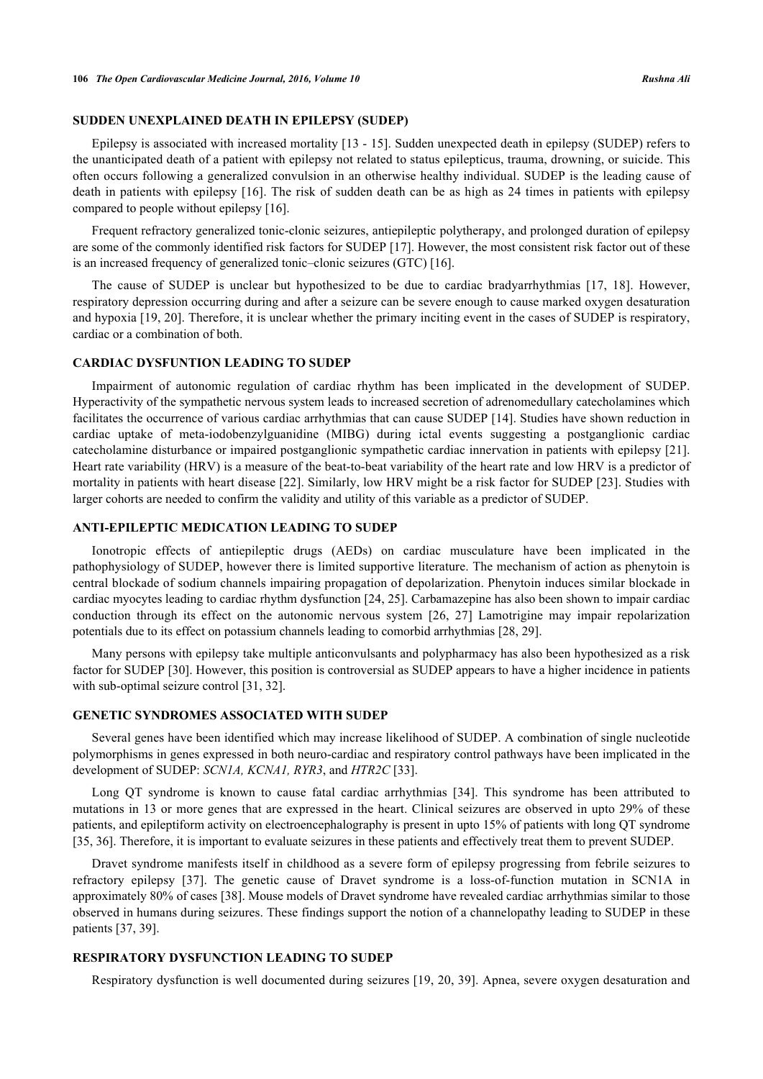#### **SUDDEN UNEXPLAINED DEATH IN EPILEPSY (SUDEP)**

Epilepsy is associated with increased mortality [\[13](#page-3-2) - [15](#page-3-3)]. Sudden unexpected death in epilepsy (SUDEP) refers to the unanticipated death of a patient with epilepsy not related to status epilepticus, trauma, drowning, or suicide. This often occurs following a generalized convulsion in an otherwise healthy individual. SUDEP is the leading cause of death in patients with epilepsy [[16](#page-3-4)]. The risk of sudden death can be as high as 24 times in patients with epilepsy compared to people without epilepsy [\[16](#page-3-4)].

Frequent refractory generalized tonic-clonic seizures, antiepileptic polytherapy, and prolonged duration of epilepsy are some of the commonly identified risk factors for SUDEP [[17\]](#page-3-5). However, the most consistent risk factor out of these is an increased frequency of generalized tonic–clonic seizures (GTC) [\[16](#page-3-4)].

The cause of SUDEP is unclear but hypothesized to be due to cardiac bradyarrhythmias[[17](#page-3-5), [18](#page-3-6)]. However, respiratory depression occurring during and after a seizure can be severe enough to cause marked oxygen desaturation and hypoxia [[19,](#page-3-7) [20](#page-3-8)]. Therefore, it is unclear whether the primary inciting event in the cases of SUDEP is respiratory, cardiac or a combination of both.

#### **CARDIAC DYSFUNTION LEADING TO SUDEP**

Impairment of autonomic regulation of cardiac rhythm has been implicated in the development of SUDEP. Hyperactivity of the sympathetic nervous system leads to increased secretion of adrenomedullary catecholamines which facilitates the occurrence of various cardiac arrhythmias that can cause SUDEP [[14](#page-3-9)]. Studies have shown reduction in cardiac uptake of meta-iodobenzylguanidine (MIBG) during ictal events suggesting a postganglionic cardiac catecholamine disturbance or impaired postganglionic sympathetic cardiac innervation in patients with epilepsy [[21\]](#page-3-10). Heart rate variability (HRV) is a measure of the beat-to-beat variability of the heart rate and low HRV is a predictor of mortality in patients with heart disease [\[22\]](#page-3-11). Similarly, low HRV might be a risk factor for SUDEP [[23](#page-3-12)]. Studies with larger cohorts are needed to confirm the validity and utility of this variable as a predictor of SUDEP.

# **ANTI-EPILEPTIC MEDICATION LEADING TO SUDEP**

Ionotropic effects of antiepileptic drugs (AEDs) on cardiac musculature have been implicated in the pathophysiology of SUDEP, however there is limited supportive literature. The mechanism of action as phenytoin is central blockade of sodium channels impairing propagation of depolarization. Phenytoin induces similar blockade in cardiac myocytes leading to cardiac rhythm dysfunction [[24,](#page-3-13) [25\]](#page-3-14). Carbamazepine has also been shown to impair cardiac conduction through its effect on the autonomic nervous system[[26](#page-3-15), [27](#page-3-16)] Lamotrigine may impair repolarization potentials due to its effect on potassium channels leading to comorbid arrhythmias [\[28](#page-3-17), [29](#page-3-18)].

Many persons with epilepsy take multiple anticonvulsants and polypharmacy has also been hypothesized as a risk factor for SUDEP [\[30\]](#page-4-0). However, this position is controversial as SUDEP appears to have a higher incidence in patients with sub-optimal seizure control [\[31](#page-4-1), [32](#page-4-2)].

### **GENETIC SYNDROMES ASSOCIATED WITH SUDEP**

Several genes have been identified which may increase likelihood of SUDEP. A combination of single nucleotide polymorphisms in genes expressed in both neuro-cardiac and respiratory control pathways have been implicated in the development of SUDEP: *SCN1A, KCNA1, RYR3*, and *HTR2C* [\[33](#page-4-3)].

Long QT syndrome is known to cause fatal cardiac arrhythmias[[34](#page-4-4)]. This syndrome has been attributed to mutations in 13 or more genes that are expressed in the heart. Clinical seizures are observed in upto 29% of these patients, and epileptiform activity on electroencephalography is present in upto 15% of patients with long QT syndrome [\[35](#page-4-5), [36](#page-4-6)]. Therefore, it is important to evaluate seizures in these patients and effectively treat them to prevent SUDEP.

Dravet syndrome manifests itself in childhood as a severe form of epilepsy progressing from febrile seizures to refractory epilepsy[[37\]](#page-4-7). The genetic cause of Dravet syndrome is a loss-of-function mutation in SCN1A in approximately 80% of cases [[38\]](#page-4-8). Mouse models of Dravet syndrome have revealed cardiac arrhythmias similar to those observed in humans during seizures. These findings support the notion of a channelopathy leading to SUDEP in these patients [[37,](#page-4-7) [39\]](#page-4-9).

#### **RESPIRATORY DYSFUNCTION LEADING TO SUDEP**

Respiratory dysfunction is well documented during seizures [[19](#page-3-7), [20,](#page-3-8) [39\]](#page-4-9). Apnea, severe oxygen desaturation and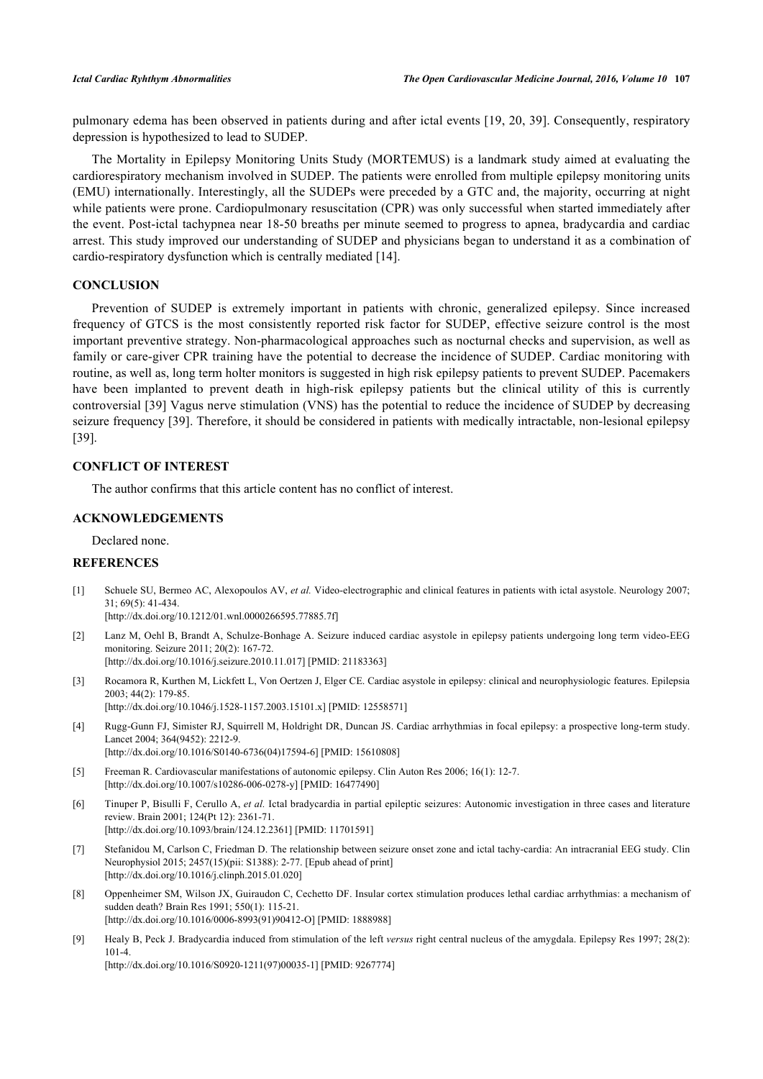pulmonary edema has been observed in patients during and after ictal events [\[19,](#page-3-7) [20](#page-3-8), [39](#page-4-9)]. Consequently, respiratory depression is hypothesized to lead to SUDEP.

The Mortality in Epilepsy Monitoring Units Study (MORTEMUS) is a landmark study aimed at evaluating the cardiorespiratory mechanism involved in SUDEP. The patients were enrolled from multiple epilepsy monitoring units (EMU) internationally. Interestingly, all the SUDEPs were preceded by a GTC and, the majority, occurring at night while patients were prone. Cardiopulmonary resuscitation (CPR) was only successful when started immediately after the event. Post-ictal tachypnea near 18-50 breaths per minute seemed to progress to apnea, bradycardia and cardiac arrest. This study improved our understanding of SUDEP and physicians began to understand it as a combination of cardio-respiratory dysfunction which is centrally mediated [[14\]](#page-3-9).

# **CONCLUSION**

Prevention of SUDEP is extremely important in patients with chronic, generalized epilepsy. Since increased frequency of GTCS is the most consistently reported risk factor for SUDEP, effective seizure control is the most important preventive strategy. Non-pharmacological approaches such as nocturnal checks and supervision, as well as family or care-giver CPR training have the potential to decrease the incidence of SUDEP. Cardiac monitoring with routine, as well as, long term holter monitors is suggested in high risk epilepsy patients to prevent SUDEP. Pacemakers have been implanted to prevent death in high-risk epilepsy patients but the clinical utility of this is currently controversial [\[39\]](#page-4-9) Vagus nerve stimulation (VNS) has the potential to reduce the incidence of SUDEP by decreasing seizure frequency [[39\]](#page-4-9). Therefore, it should be considered in patients with medically intractable, non-lesional epilepsy [\[39](#page-4-9)].

#### **CONFLICT OF INTEREST**

The author confirms that this article content has no conflict of interest.

### **ACKNOWLEDGEMENTS**

Declared none.

#### **REFERENCES**

<span id="page-2-0"></span>[1] Schuele SU, Bermeo AC, Alexopoulos AV, *et al.* Video-electrographic and clinical features in patients with ictal asystole. Neurology 2007; 31; 69(5): 41-434.

[\[http://dx.doi.org/10.1212/01.wnl.0000266595.77885.7f](http://dx.doi.org/10.1212/01.wnl.0000266595.77885.7f)]

- [2] Lanz M, Oehl B, Brandt A, Schulze-Bonhage A. Seizure induced cardiac asystole in epilepsy patients undergoing long term video-EEG monitoring. Seizure 2011; 20(2): 167-72. [\[http://dx.doi.org/10.1016/j.seizure.2010.11.017\]](http://dx.doi.org/10.1016/j.seizure.2010.11.017) [PMID: [21183363](http://www.ncbi.nlm.nih.gov/pubmed/21183363)]
- <span id="page-2-1"></span>[3] Rocamora R, Kurthen M, Lickfett L, Von Oertzen J, Elger CE. Cardiac asystole in epilepsy: clinical and neurophysiologic features. Epilepsia 2003; 44(2): 179-85. [\[http://dx.doi.org/10.1046/j.1528-1157.2003.15101.x\]](http://dx.doi.org/10.1046/j.1528-1157.2003.15101.x) [PMID: [12558571](http://www.ncbi.nlm.nih.gov/pubmed/12558571)]
- <span id="page-2-2"></span>[4] Rugg-Gunn FJ, Simister RJ, Squirrell M, Holdright DR, Duncan JS. Cardiac arrhythmias in focal epilepsy: a prospective long-term study. Lancet 2004; 364(9452): 2212-9. [\[http://dx.doi.org/10.1016/S0140-6736\(04\)17594-6\]](http://dx.doi.org/10.1016/S0140-6736(04)17594-6) [PMID: [15610808](http://www.ncbi.nlm.nih.gov/pubmed/15610808)]
- <span id="page-2-3"></span>[5] Freeman R. Cardiovascular manifestations of autonomic epilepsy. Clin Auton Res 2006; 16(1): 12-7. [\[http://dx.doi.org/10.1007/s10286-006-0278-y\]](http://dx.doi.org/10.1007/s10286-006-0278-y) [PMID: [16477490](http://www.ncbi.nlm.nih.gov/pubmed/16477490)]
- <span id="page-2-4"></span>[6] Tinuper P, Bisulli F, Cerullo A, *et al.* Ictal bradycardia in partial epileptic seizures: Autonomic investigation in three cases and literature review. Brain 2001; 124(Pt 12): 2361-71. [\[http://dx.doi.org/10.1093/brain/124.12.2361](http://dx.doi.org/10.1093/brain/124.12.2361)] [PMID: [11701591](http://www.ncbi.nlm.nih.gov/pubmed/11701591)]
- <span id="page-2-5"></span>[7] Stefanidou M, Carlson C, Friedman D. The relationship between seizure onset zone and ictal tachy-cardia: An intracranial EEG study. Clin Neurophysiol 2015; 2457(15)(pii: S1388): 2-77. [Epub ahead of print] [\[http://dx.doi.org/10.1016/j.clinph.2015.01.020](http://dx.doi.org/10.1016/j.clinph.2015.01.020)]
- <span id="page-2-6"></span>[8] Oppenheimer SM, Wilson JX, Guiraudon C, Cechetto DF. Insular cortex stimulation produces lethal cardiac arrhythmias: a mechanism of sudden death? Brain Res 1991; 550(1): 115-21. [\[http://dx.doi.org/10.1016/0006-8993\(91\)90412-O](http://dx.doi.org/10.1016/0006-8993(91)90412-O)] [PMID: [1888988\]](http://www.ncbi.nlm.nih.gov/pubmed/1888988)
- [9] Healy B, Peck J. Bradycardia induced from stimulation of the left *versus* right central nucleus of the amygdala. Epilepsy Res 1997; 28(2): 101-4.

[\[http://dx.doi.org/10.1016/S0920-1211\(97\)00035-1\]](http://dx.doi.org/10.1016/S0920-1211(97)00035-1) [PMID: [9267774](http://www.ncbi.nlm.nih.gov/pubmed/9267774)]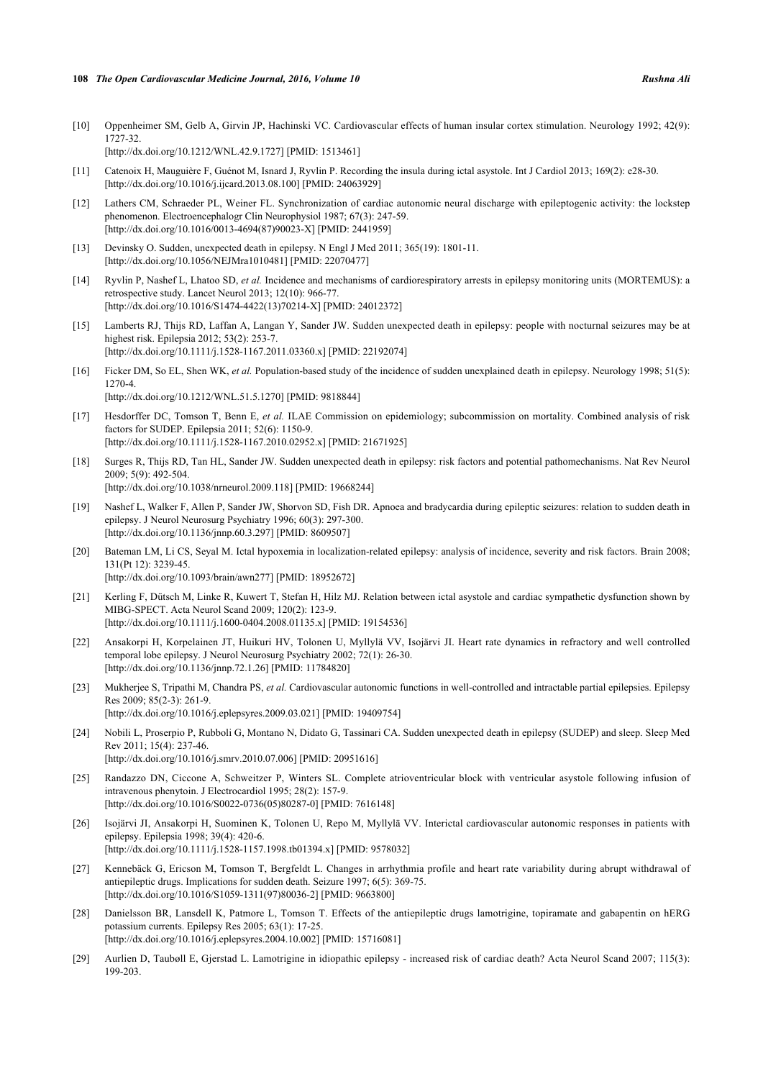- [10] Oppenheimer SM, Gelb A, Girvin JP, Hachinski VC. Cardiovascular effects of human insular cortex stimulation. Neurology 1992; 42(9): 1727-32. [\[http://dx.doi.org/10.1212/WNL.42.9.1727](http://dx.doi.org/10.1212/WNL.42.9.1727)] [PMID: [1513461\]](http://www.ncbi.nlm.nih.gov/pubmed/1513461)
- <span id="page-3-0"></span>[11] Catenoix H, Mauguière F, Guénot M, Isnard J, Ryvlin P. Recording the insula during ictal asystole. Int J Cardiol 2013; 169(2): e28-30. [\[http://dx.doi.org/10.1016/j.ijcard.2013.08.100](http://dx.doi.org/10.1016/j.ijcard.2013.08.100)] [PMID: [24063929\]](http://www.ncbi.nlm.nih.gov/pubmed/24063929)
- <span id="page-3-1"></span>[12] Lathers CM, Schraeder PL, Weiner FL. Synchronization of cardiac autonomic neural discharge with epileptogenic activity: the lockstep phenomenon. Electroencephalogr Clin Neurophysiol 1987; 67(3): 247-59. [\[http://dx.doi.org/10.1016/0013-4694\(87\)90023-X](http://dx.doi.org/10.1016/0013-4694(87)90023-X)] [PMID: [2441959\]](http://www.ncbi.nlm.nih.gov/pubmed/2441959)
- <span id="page-3-2"></span>[13] Devinsky O. Sudden, unexpected death in epilepsy. N Engl J Med 2011; 365(19): 1801-11. [\[http://dx.doi.org/10.1056/NEJMra1010481\]](http://dx.doi.org/10.1056/NEJMra1010481) [PMID: [22070477](http://www.ncbi.nlm.nih.gov/pubmed/22070477)]
- <span id="page-3-9"></span>[14] Ryvlin P, Nashef L, Lhatoo SD, *et al.* Incidence and mechanisms of cardiorespiratory arrests in epilepsy monitoring units (MORTEMUS): a retrospective study. Lancet Neurol 2013; 12(10): 966-77. [\[http://dx.doi.org/10.1016/S1474-4422\(13\)70214-X\]](http://dx.doi.org/10.1016/S1474-4422(13)70214-X) [PMID: [24012372](http://www.ncbi.nlm.nih.gov/pubmed/24012372)]
- <span id="page-3-3"></span>[15] Lamberts RJ, Thijs RD, Laffan A, Langan Y, Sander JW. Sudden unexpected death in epilepsy: people with nocturnal seizures may be at highest risk. Epilepsia 2012; 53(2): 253-7. [\[http://dx.doi.org/10.1111/j.1528-1167.2011.03360.x\]](http://dx.doi.org/10.1111/j.1528-1167.2011.03360.x) [PMID: [22192074](http://www.ncbi.nlm.nih.gov/pubmed/22192074)]
- <span id="page-3-4"></span>[16] Ficker DM, So EL, Shen WK, *et al.* Population-based study of the incidence of sudden unexplained death in epilepsy. Neurology 1998; 51(5): 1270-4. [\[http://dx.doi.org/10.1212/WNL.51.5.1270](http://dx.doi.org/10.1212/WNL.51.5.1270)] [PMID: [9818844\]](http://www.ncbi.nlm.nih.gov/pubmed/9818844)
- <span id="page-3-5"></span>[17] Hesdorffer DC, Tomson T, Benn E, *et al.* ILAE Commission on epidemiology; subcommission on mortality. Combined analysis of risk factors for SUDEP. Epilepsia 2011; 52(6): 1150-9. [\[http://dx.doi.org/10.1111/j.1528-1167.2010.02952.x\]](http://dx.doi.org/10.1111/j.1528-1167.2010.02952.x) [PMID: [21671925](http://www.ncbi.nlm.nih.gov/pubmed/21671925)]
- <span id="page-3-6"></span>[18] Surges R, Thijs RD, Tan HL, Sander JW. Sudden unexpected death in epilepsy: risk factors and potential pathomechanisms. Nat Rev Neurol 2009; 5(9): 492-504. [\[http://dx.doi.org/10.1038/nrneurol.2009.118\]](http://dx.doi.org/10.1038/nrneurol.2009.118) [PMID: [19668244](http://www.ncbi.nlm.nih.gov/pubmed/19668244)]
- <span id="page-3-7"></span>[19] Nashef L, Walker F, Allen P, Sander JW, Shorvon SD, Fish DR. Apnoea and bradycardia during epileptic seizures: relation to sudden death in epilepsy. J Neurol Neurosurg Psychiatry 1996; 60(3): 297-300. [\[http://dx.doi.org/10.1136/jnnp.60.3.297](http://dx.doi.org/10.1136/jnnp.60.3.297)] [PMID: [8609507\]](http://www.ncbi.nlm.nih.gov/pubmed/8609507)
- <span id="page-3-8"></span>[20] Bateman LM, Li CS, Seyal M. Ictal hypoxemia in localization-related epilepsy: analysis of incidence, severity and risk factors. Brain 2008; 131(Pt 12): 3239-45. [\[http://dx.doi.org/10.1093/brain/awn277\]](http://dx.doi.org/10.1093/brain/awn277) [PMID: [18952672](http://www.ncbi.nlm.nih.gov/pubmed/18952672)]
- <span id="page-3-10"></span>[21] Kerling F, Dütsch M, Linke R, Kuwert T, Stefan H, Hilz MJ. Relation between ictal asystole and cardiac sympathetic dysfunction shown by MIBG-SPECT. Acta Neurol Scand 2009; 120(2): 123-9. [\[http://dx.doi.org/10.1111/j.1600-0404.2008.01135.x\]](http://dx.doi.org/10.1111/j.1600-0404.2008.01135.x) [PMID: [19154536](http://www.ncbi.nlm.nih.gov/pubmed/19154536)]
- <span id="page-3-11"></span>[22] Ansakorpi H, Korpelainen JT, Huikuri HV, Tolonen U, Myllylä VV, Isojärvi JI. Heart rate dynamics in refractory and well controlled temporal lobe epilepsy. J Neurol Neurosurg Psychiatry 2002; 72(1): 26-30. [\[http://dx.doi.org/10.1136/jnnp.72.1.26](http://dx.doi.org/10.1136/jnnp.72.1.26)] [PMID: [11784820\]](http://www.ncbi.nlm.nih.gov/pubmed/11784820)
- <span id="page-3-12"></span>[23] Mukherjee S, Tripathi M, Chandra PS, *et al.* Cardiovascular autonomic functions in well-controlled and intractable partial epilepsies. Epilepsy Res 2009; 85(2-3): 261-9. [\[http://dx.doi.org/10.1016/j.eplepsyres.2009.03.021\]](http://dx.doi.org/10.1016/j.eplepsyres.2009.03.021) [PMID: [19409754](http://www.ncbi.nlm.nih.gov/pubmed/19409754)]
- <span id="page-3-13"></span>[24] Nobili L, Proserpio P, Rubboli G, Montano N, Didato G, Tassinari CA. Sudden unexpected death in epilepsy (SUDEP) and sleep. Sleep Med Rev 2011; 15(4): 237-46. [\[http://dx.doi.org/10.1016/j.smrv.2010.07.006](http://dx.doi.org/10.1016/j.smrv.2010.07.006)] [PMID: [20951616\]](http://www.ncbi.nlm.nih.gov/pubmed/20951616)
- <span id="page-3-14"></span>[25] Randazzo DN, Ciccone A, Schweitzer P, Winters SL. Complete atrioventricular block with ventricular asystole following infusion of intravenous phenytoin. J Electrocardiol 1995; 28(2): 157-9. [\[http://dx.doi.org/10.1016/S0022-0736\(05\)80287-0\]](http://dx.doi.org/10.1016/S0022-0736(05)80287-0) [PMID: [7616148](http://www.ncbi.nlm.nih.gov/pubmed/7616148)]
- <span id="page-3-15"></span>[26] Isojärvi JI, Ansakorpi H, Suominen K, Tolonen U, Repo M, Myllylä VV. Interictal cardiovascular autonomic responses in patients with epilepsy. Epilepsia 1998; 39(4): 420-6. [\[http://dx.doi.org/10.1111/j.1528-1157.1998.tb01394.x\]](http://dx.doi.org/10.1111/j.1528-1157.1998.tb01394.x) [PMID: [9578032](http://www.ncbi.nlm.nih.gov/pubmed/9578032)]
- <span id="page-3-16"></span>[27] Kennebäck G, Ericson M, Tomson T, Bergfeldt L. Changes in arrhythmia profile and heart rate variability during abrupt withdrawal of antiepileptic drugs. Implications for sudden death. Seizure 1997; 6(5): 369-75. [\[http://dx.doi.org/10.1016/S1059-1311\(97\)80036-2\]](http://dx.doi.org/10.1016/S1059-1311(97)80036-2) [PMID: [9663800](http://www.ncbi.nlm.nih.gov/pubmed/9663800)]
- <span id="page-3-17"></span>[28] Danielsson BR, Lansdell K, Patmore L, Tomson T. Effects of the antiepileptic drugs lamotrigine, topiramate and gabapentin on hERG potassium currents. Epilepsy Res 2005; 63(1): 17-25. [\[http://dx.doi.org/10.1016/j.eplepsyres.2004.10.002\]](http://dx.doi.org/10.1016/j.eplepsyres.2004.10.002) [PMID: [15716081](http://www.ncbi.nlm.nih.gov/pubmed/15716081)]
- <span id="page-3-18"></span>[29] Aurlien D, Taubøll E, Gjerstad L. Lamotrigine in idiopathic epilepsy - increased risk of cardiac death? Acta Neurol Scand 2007; 115(3): 199-203.